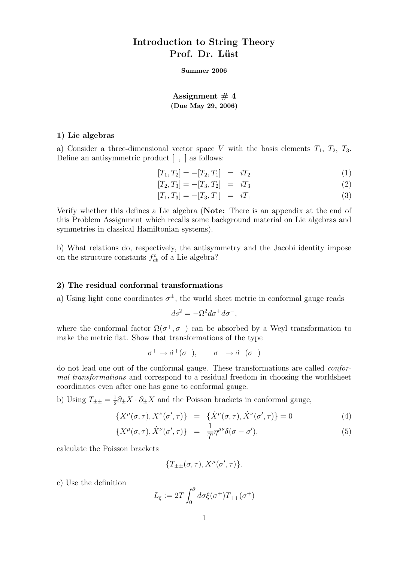# Introduction to String Theory Prof. Dr. Lüst

Summer 2006

Assignment  $#4$ (Due May 29, 2006)

# 1) Lie algebras

a) Consider a three-dimensional vector space V with the basis elements  $T_1$ ,  $T_2$ ,  $T_3$ . Define an antisymmetric product [ , ] as follows:

$$
[T_1, T_2] = -[T_2, T_1] = iT_2 \tag{1}
$$

$$
[T_2, T_3] = -[T_3, T_2] = iT_3 \tag{2}
$$

$$
[T_1, T_3] = -[T_3, T_1] = iT_1 \tag{3}
$$

Verify whether this defines a Lie algebra (Note: There is an appendix at the end of this Problem Assignment which recalls some background material on Lie algebras and symmetries in classical Hamiltonian systems).

b) What relations do, respectively, the antisymmetry and the Jacobi identity impose on the structure constants  $f_{ab}^c$  of a Lie algebra?

# 2) The residual conformal transformations

a) Using light cone coordinates  $\sigma^{\pm}$ , the world sheet metric in conformal gauge reads

$$
ds^2 = -\Omega^2 d\sigma^+ d\sigma^-,
$$

where the conformal factor  $\Omega(\sigma^+,\sigma^-)$  can be absorbed by a Weyl transformation to make the metric flat. Show that transformations of the type

$$
\sigma^+ \to \tilde{\sigma}^+(\sigma^+), \qquad \sigma^- \to \tilde{\sigma}^-(\sigma^-)
$$

do not lead one out of the conformal gauge. These transformations are called conformal transformations and correspond to a residual freedom in choosing the worldsheet coordinates even after one has gone to conformal gauge.

b) Using  $T_{\pm\pm} = \frac{1}{2}$  $\frac{1}{2}\partial_{\pm}X \cdot \partial_{\pm}X$  and the Poisson brackets in conformal gauge,

$$
\{X^{\mu}(\sigma,\tau), X^{\nu}(\sigma',\tau)\} = \{\dot{X}^{\mu}(\sigma,\tau), \dot{X}^{\nu}(\sigma',\tau)\} = 0 \tag{4}
$$

$$
\{X^{\mu}(\sigma,\tau),\dot{X}^{\nu}(\sigma',\tau)\} = \frac{1}{T}\eta^{\mu\nu}\delta(\sigma-\sigma'),\tag{5}
$$

calculate the Poisson brackets

$$
\{T_{\pm\pm}(\sigma,\tau),X^{\mu}(\sigma',\tau)\}.
$$

c) Use the definition

$$
L_{\xi} := 2T \int_0^{\bar{\sigma}} d\sigma \xi(\sigma^+) T_{++}(\sigma^+)
$$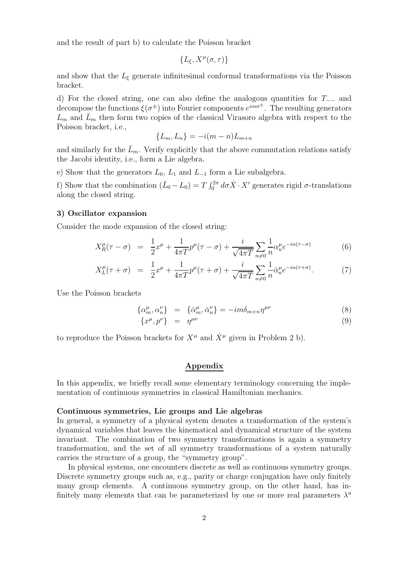and the result of part b) to calculate the Poisson bracket

$$
\{L_\xi,X^\mu(\sigma,\tau)\}
$$

and show that the  $L_{\xi}$  generate infinitesimal conformal transformations via the Poisson bracket.

d) For the closed string, one can also define the analogous quantities for T−− and decompose the functions  $\xi(\sigma^{\pm})$  into Fourier components  $e^{im\sigma^{\pm}}$ . The resulting generators  $L_m$  and  $\bar{L}_m$  then form two copies of the classical Virasoro algebra with respect to the Poisson bracket, i.e.,

$$
\{L_m, L_n\} = -i(m-n)L_{m+n}
$$

and similarly for the  $\bar{L}_m$ . Verify explicitly that the above commutation relations satisfy the Jacobi identity, i.e., form a Lie algebra.

e) Show that the generators  $L_0$ ,  $L_1$  and  $L_{-1}$  form a Lie subalgebra.

f) Show that the combination  $(\bar{L}_0 - L_0) = T \int_0^{2\pi} d\sigma \dot{X} \cdot X'$  generates rigid  $\sigma$ -translations along the closed string.

#### 3) Oscillator expansion

Consider the mode expansion of the closed string:

$$
X_R^{\mu}(\tau - \sigma) = \frac{1}{2}x^{\mu} + \frac{1}{4\pi T}p^{\mu}(\tau - \sigma) + \frac{i}{\sqrt{4\pi T}}\sum_{n \neq 0} \frac{1}{n} \alpha_n^{\mu} e^{-in(\tau - \sigma)}
$$
(6)

$$
X_L^{\mu}(\tau + \sigma) = \frac{1}{2}x^{\mu} + \frac{1}{4\pi T}p^{\mu}(\tau + \sigma) + \frac{i}{\sqrt{4\pi T}}\sum_{n \neq 0} \frac{1}{n}\bar{\alpha}_n^{\mu}e^{-in(\tau + \sigma)}.
$$
 (7)

Use the Poisson brackets

$$
\{\alpha_m^{\mu}, \alpha_n^{\nu}\} = \{\bar{\alpha}_m^{\mu}, \bar{\alpha}_n^{\nu}\} = -im\delta_{m+n}\eta^{\mu\nu}
$$
\n(8)

$$
\{x^{\mu}, p^{\nu}\} = \eta^{\mu\nu} \tag{9}
$$

to reproduce the Poisson brackets for  $X^{\mu}$  and  $\dot{X}^{\mu}$  given in Problem 2 b).

# Appendix

In this appendix, we briefly recall some elementary terminology concerning the implementation of continuous symmetries in classical Hamiltonian mechanics.

#### Continuous symmetries, Lie groups and Lie algebras

In general, a symmetry of a physical system denotes a transformation of the system's dynamical variables that leaves the kinematical and dynamical structure of the system invariant. The combination of two symmetry transformations is again a symmetry transformation, and the set of all symmetry transformations of a system naturally carries the structure of a group, the "symmetry group".

In physical systems, one encounters discrete as well as continuous symmetry groups. Discrete symmetry groups such as, e.g., parity or charge conjugation have only finitely many group elements. A continuous symmetry group, on the other hand, has infinitely many elements that can be parameterized by one or more real parameters  $\lambda^a$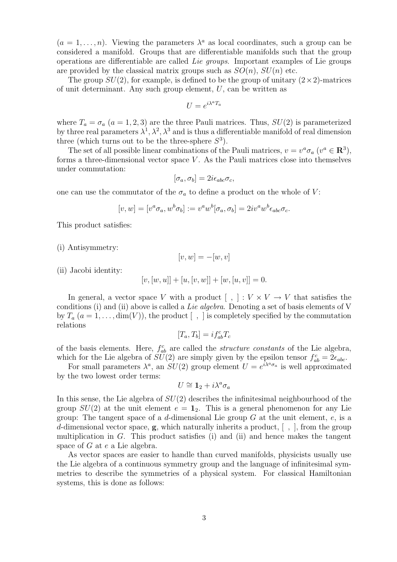$(a = 1, \ldots, n)$ . Viewing the parameters  $\lambda^a$  as local coordinates, such a group can be considered a manifold. Groups that are differentiable manifolds such that the group operations are differentiable are called Lie groups. Important examples of Lie groups are provided by the classical matrix groups such as  $SO(n)$ ,  $SU(n)$  etc.

The group  $SU(2)$ , for example, is defined to be the group of unitary  $(2\times 2)$ -matrices of unit determinant. Any such group element,  $U$ , can be written as

$$
U=e^{i\lambda^a T_a}
$$

where  $T_a = \sigma_a$   $(a = 1, 2, 3)$  are the three Pauli matrices. Thus,  $SU(2)$  is parameterized by three real parameters  $\lambda^1$ ,  $\lambda^2$ ,  $\lambda^3$  and is thus a differentiable manifold of real dimension three (which turns out to be the three-sphere  $S^3$ ).

The set of all possible linear combinations of the Pauli matrices,  $v = v^a \sigma_a$  ( $v^a \in \mathbb{R}^3$ ), forms a three-dimensional vector space  $V$ . As the Pauli matrices close into themselves under commutation:

$$
[\sigma_a, \sigma_b] = 2i\epsilon_{abc}\sigma_c,
$$

one can use the commutator of the  $\sigma_a$  to define a product on the whole of V:

$$
[v, w] = [v^a \sigma_a, w^b \sigma_b] := v^a w^b [\sigma_a, \sigma_b] = 2i v^a w^b \epsilon_{abc} \sigma_c.
$$

This product satisfies:

(i) Antisymmetry:

 $[v, w] = -[w, v]$ 

(ii) Jacobi identity:

$$
[v, [w, u]] + [u, [v, w]] + [w, [u, v]] = 0.
$$

In general, a vector space V with a product  $[ , ] : V \times V \rightarrow V$  that satisfies the conditions (i) and (ii) above is called a Lie algebra. Denoting a set of basis elements of V by  $T_a$   $(a = 1, \ldots, \dim(V))$ , the product  $\lceil , \rceil$  is completely specified by the commutation relations

$$
[T_a, T_b] = i f_{ab}^c T_c
$$

of the basis elements. Here,  $f_{ab}^c$  are called the *structure constants* of the Lie algebra, which for the Lie algebra of  $SU(2)$  are simply given by the epsilon tensor  $f_{ab}^c = 2\epsilon_{abc}$ .

For small parameters  $\lambda^a$ , an  $SU(2)$  group element  $U = e^{i\lambda^a \sigma_a}$  is well approximated by the two lowest order terms:

$$
U\cong \mathbf{1}_2+i\lambda^a\sigma_a
$$

In this sense, the Lie algebra of  $SU(2)$  describes the infinitesimal neighbourhood of the group  $SU(2)$  at the unit element  $e = 1<sub>2</sub>$ . This is a general phenomenon for any Lie group: The tangent space of a d-dimensional Lie group  $G$  at the unit element,  $e$ , is a d-dimensional vector space,  $\mathbf{g}$ , which naturally inherits a product,  $\lceil \cdot \rceil$ ,  $\lceil \cdot \rceil$ , from the group multiplication in  $G$ . This product satisfies (i) and (ii) and hence makes the tangent space of G at e a Lie algebra.

As vector spaces are easier to handle than curved manifolds, physicists usually use the Lie algebra of a continuous symmetry group and the language of infinitesimal symmetries to describe the symmetries of a physical system. For classical Hamiltonian systems, this is done as follows: